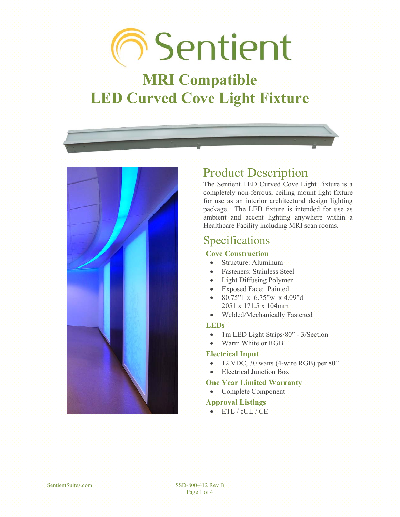# **The Sentient**

## **MRI Compatible LED Curved Cove Light Fixture**



## Product Description

The Sentient LED Curved Cove Light Fixture is a completely non-ferrous, ceiling mount light fixture for use as an interior architectural design lighting package. The LED fixture is intended for use as ambient and accent lighting anywhere within a Healthcare Facility including MRI scan rooms.

### Specifications

#### **Cove Construction**

- Structure: Aluminum
- Fasteners: Stainless Steel
- Light Diffusing Polymer
- Exposed Face: Painted
- 80.75"l x 6.75"w x 4.09"d 2051 x 171.5 x 104mm
- Welded/Mechanically Fastened

#### **LEDs**

 $\bullet$  1m LED Light Strips/80" - 3/Section

#### Warm White or RGB

#### **Electrical Input**

- $\bullet$  12 VDC, 30 watts (4-wire RGB) per 80"
- x Electrical Junction Box

#### **One Year Limited Warranty**

• Complete Component

#### **Approval Listings**

 $\bullet$  ETL / cUL / CE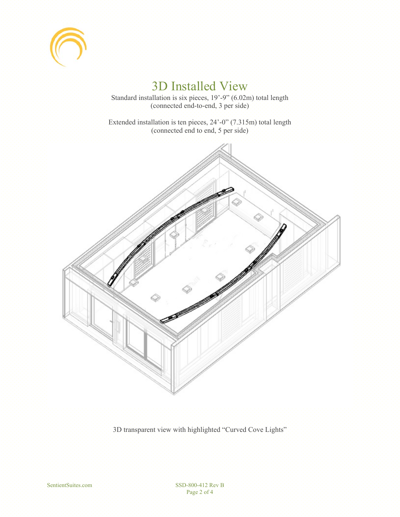

## 3D Installed View

Standard installation is six pieces, 19'-9" (6.02m) total length (connected end-to-end, 3 per side)

Extended installation is ten pieces, 24'-0" (7.315m) total length (connected end to end, 5 per side)



3D transparent view with highlighted "Curved Cove Lights"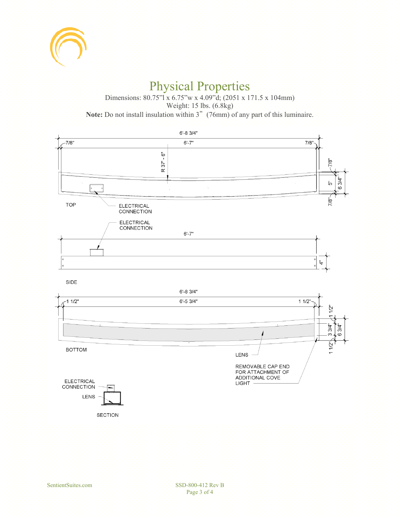

## Physical Properties

Dimensions: 80.75"l x 6.75"w x 4.09"d; (2051 x 171.5 x 104mm) Weight: 15 lbs. (6.8kg) **Note:** Do not install insulation within 3"(76mm) of any part of this luminaire.